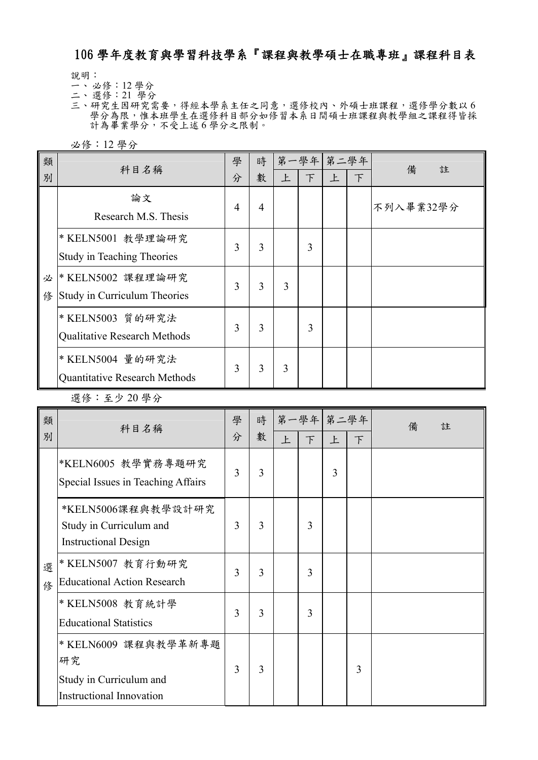## 106 學年度教育與學習科技學系『課程與教學碩士在職專班』課程科目表

說明:

- 一、 必修:12 學分
- 二、 選修:21 學分

三、研究生因研究需要,得經本學系主任之同意,選修校內、外碩士班課程,選修學分數以6 學分為限,惟本班學生在選修科目部分如修習本系日間碩士班課程與教學組之課程得皆採 計為畢業學分,不受上述 6學分之限制。

必修:12 學分

| 類      | 科目名稱                                                     | 學 | 時 |   | 第一學年 第二學年 |   |               | 備<br>註    |
|--------|----------------------------------------------------------|---|---|---|-----------|---|---------------|-----------|
| 別      |                                                          | 分 | 數 | 上 | F         | 上 | $\mathcal{F}$ |           |
|        | 論文<br>Research M.S. Thesis                               | 4 | 4 |   |           |   |               | 不列入畢業32學分 |
|        | * KELN5001 教學理論研究<br><b>Study in Teaching Theories</b>   | 3 | 3 |   | 3         |   |               |           |
| 必<br>俢 | * KELN5002 課程理論研究<br>Study in Curriculum Theories        | 3 | 3 | 3 |           |   |               |           |
|        | * KELN5003 質的研究法<br>Qualitative Research Methods         | 3 | 3 |   | 3         |   |               |           |
|        | * KELN5004 量的研究法<br><b>Quantitative Research Methods</b> | 3 | 3 | 3 |           |   |               |           |

選修:至少 20 學分

| 類<br>別 | 科目名稱                                                                                     | 學<br>分 | 時<br>數 | 上 | $\top$ | 第一學年 第二學年<br>上 | $\top$ | 備<br>註 |
|--------|------------------------------------------------------------------------------------------|--------|--------|---|--------|----------------|--------|--------|
| 選<br>修 | *KELN6005 教學實務專題研究<br>Special Issues in Teaching Affairs                                 | 3      | 3      |   |        | 3              |        |        |
|        | *KELN5006課程與教學設計研究<br>Study in Curriculum and<br><b>Instructional Design</b>             | 3      | 3      |   | 3      |                |        |        |
|        | * KELN5007 教育行動研究<br><b>Educational Action Research</b>                                  | 3      | 3      |   | 3      |                |        |        |
|        | * KELN5008 教育統計學<br><b>Educational Statistics</b>                                        | 3      | 3      |   | 3      |                |        |        |
|        | * KELN6009 課程與教學革新專題<br>研究<br>Study in Curriculum and<br><b>Instructional Innovation</b> | 3      | 3      |   |        |                | 3      |        |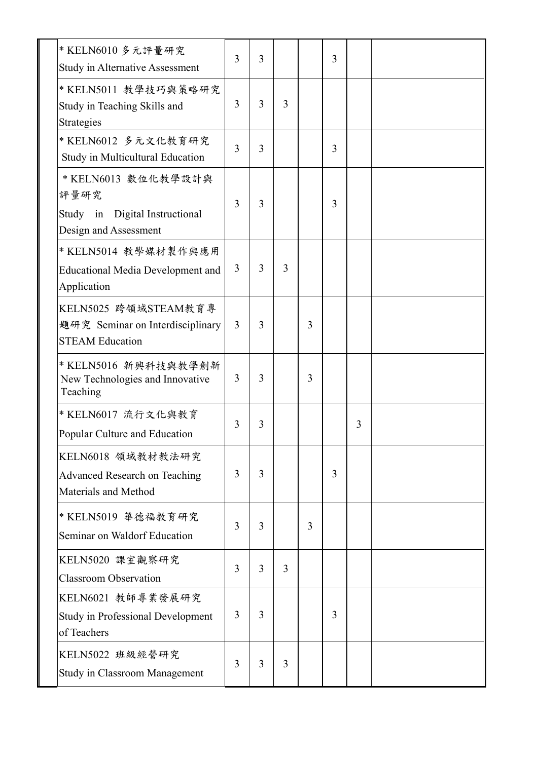| * KELN6010 多元評量研究<br>Study in Alternative Assessment                                      | $\overline{3}$ | 3 |                |   | 3 |   |  |
|-------------------------------------------------------------------------------------------|----------------|---|----------------|---|---|---|--|
| * KELN5011 教學技巧與策略研究<br>Study in Teaching Skills and<br>Strategies                        | $\overline{3}$ | 3 | $\overline{3}$ |   |   |   |  |
| * KELN6012 多元文化教育研究<br>Study in Multicultural Education                                   | 3              | 3 |                |   | 3 |   |  |
| * KELN6013 數位化教學設計與<br>評量研究<br>Digital Instructional<br>Study in<br>Design and Assessment | 3              | 3 |                |   | 3 |   |  |
| * KELN5014 教學媒材製作與應用<br><b>Educational Media Development and</b><br>Application           | 3              | 3 | 3              |   |   |   |  |
| KELN5025 跨領域STEAM教育專<br>題研究 Seminar on Interdisciplinary<br><b>STEAM Education</b>        | $\overline{3}$ | 3 |                | 3 |   |   |  |
| * KELN5016 新興科技與教學創新<br>New Technologies and Innovative<br>Teaching                       | 3              | 3 |                | 3 |   |   |  |
| * KELN6017 流行文化與教育<br>Popular Culture and Education                                       | $\overline{3}$ | 3 |                |   |   | 3 |  |
| KELN6018 領域教材教法研究<br><b>Advanced Research on Teaching</b><br>Materials and Method         | 3              | 3 |                |   | 3 |   |  |
| * KELN5019 華德福教育研究<br>Seminar on Waldorf Education                                        | 3              | 3 |                | 3 |   |   |  |
| KELN5020 課室觀察研究<br><b>Classroom Observation</b>                                           | 3              | 3 | $\overline{3}$ |   |   |   |  |
| KELN6021 教師專業發展研究<br><b>Study in Professional Development</b><br>of Teachers              | 3              | 3 |                |   | 3 |   |  |
| KELN5022 班級經營研究<br><b>Study in Classroom Management</b>                                   | 3              | 3 | 3              |   |   |   |  |